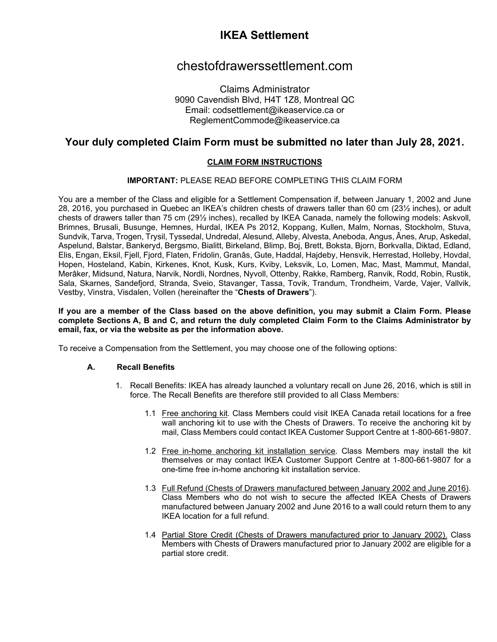# **IKEA Settlement**

## chestofdrawerssettlement.com

Claims Administrator 9090 Cavendish Blvd, H4T 1Z8, Montreal QC Email: [codsettlement@ikeaservice.ca](mailto:codsettlement@ikeaservice.ca) or [ReglementCommode@ikeaservice.ca](mailto:ReglementCommode@ikeaservice.ca)

## **Your duly completed Claim Form must be submitted no later than July 28, 2021.**

## **CLAIM FORM INSTRUCTIONS**

### **IMPORTANT:** PLEASE READ BEFORE COMPLETING THIS CLAIM FORM

You are a member of the Class and eligible for a Settlement Compensation if, between January 1, 2002 and June 28, 2016, you purchased in Quebec an IKEA's children chests of drawers taller than 60 cm (23½ inches), or adult chests of drawers taller than 75 cm (29½ inches), recalled by IKEA Canada, namely the following models: Askvoll, Brimnes, Brusali, Busunge, Hemnes, Hurdal, IKEA Ps 2012, Koppang, Kullen, Malm, Nornas, Stockholm, Stuva, Sundvik, Tarva, Trogen, Trysil, Tyssedal, Undredal, Alesund, Alleby, Alvesta, Aneboda, Angus, Ânes, Arup, Askedal, Aspelund, Balstar, Bankeryd, Bergsmo, Bialitt, Birkeland, Blimp, Boj, Brett, Boksta, Bjorn, Borkvalla, Diktad, Edland, Elis, Engan, Eksil, Fjell, Fjord, Flaten, Fridolin, Granâs, Gute, Haddal, Hajdeby, Hensvik, Herrestad, Holleby, Hovdal, Hopen, Hosteland, Kabin, Kirkenes, Knot, Kusk, Kurs, Kviby, Leksvik, Lo, Lomen, Mac, Mast, Mammut, Mandal, Merâker, Midsund, Natura, Narvik, Nordli, Nordnes, Nyvoll, Ottenby, Rakke, Ramberg, Ranvik, Rodd, Robin, Rustik, Sala, Skarnes, Sandefjord, Stranda, Sveio, Stavanger, Tassa, Tovik, Trandum, Trondheim, Varde, Vajer, Vallvik, Vestby, Vinstra, Visdalen, Vollen (hereinafter the "**Chests of Drawers**").

#### **If you are a member of the Class based on the above definition, you may submit a Claim Form. Please complete Sections [A,](#page-2-0) B and C, and return the duly completed Claim Form to the Claims Administrator by email, fax, or via the website as per the information above.**

To receive a Compensation from the Settlement, you may choose one of the following options:

### **A. Recall Benefits**

- 1. Recall Benefits: IKEA has already launched a voluntary recall on June 26, 2016, which is still in force. The Recall Benefits are therefore still provided to all Class Members:
	- 1.1 Free anchoring kit. Class Members could visit IKEA Canada retail locations for a free wall anchoring kit to use with the Chests of Drawers. To receive the anchoring kit by mail, Class Members could contact IKEA Customer Support Centre at 1-800-661-9807.
	- 1.2 Free in-home anchoring kit installation service. Class Members may install the kit themselves or may contact IKEA Customer Support Centre at 1-800-661-9807 for a one-time free in-home anchoring kit installation service.
	- 1.3 Full Refund (Chests of Drawers manufactured between January 2002 and June 2016). Class Members who do not wish to secure the affected IKEA Chests of Drawers manufactured between January 2002 and June 2016 to a wall could return them to any IKEA location for a full refund.
	- 1.4 Partial Store Credit (Chests of Drawers manufactured prior to January 2002). Class Members with Chests of Drawers manufactured prior to January 2002 are eligible for a partial store credit.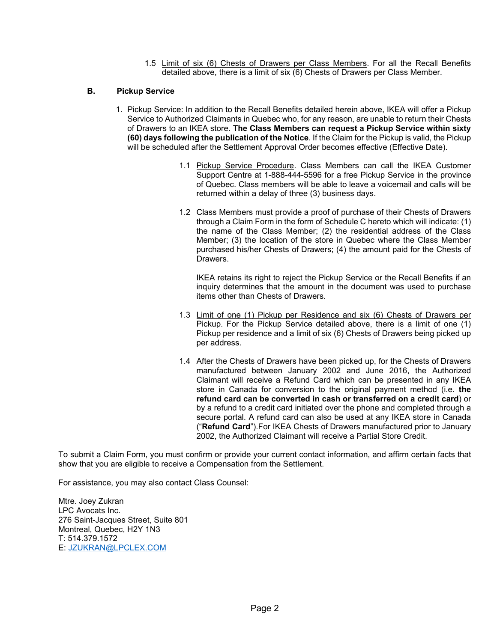1.5 Limit of six (6) Chests of Drawers per Class Members. For all the Recall Benefits detailed above, there is a limit of six (6) Chests of Drawers per Class Member.

### **B. Pickup Service**

- 1. Pickup Service: In addition to the Recall Benefits detailed herein above, IKEA will offer a Pickup Service to Authorized Claimants in Quebec who, for any reason, are unable to return their Chests of Drawers to an IKEA store. **The Class Members can request a Pickup Service within sixty (60) days following the publication of the Notice**. If the Claim for the Pickup is valid, the Pickup will be scheduled after the Settlement Approval Order becomes effective (Effective Date).
	- 1.1 Pickup Service Procedure. Class Members can call the IKEA Customer Support Centre at 1-888-444-5596 for a free Pickup Service in the province of Quebec. Class members will be able to leave a voicemail and calls will be returned within a delay of three (3) business days.
	- 1.2 Class Members must provide a proof of purchase of their Chests of Drawers through a Claim Form in the form of Schedule C hereto which will indicate: (1) the name of the Class Member; (2) the residential address of the Class Member; (3) the location of the store in Quebec where the Class Member purchased his/her Chests of Drawers; (4) the amount paid for the Chests of Drawers.

IKEA retains its right to reject the Pickup Service or the Recall Benefits if an inquiry determines that the amount in the document was used to purchase items other than Chests of Drawers.

- 1.3 Limit of one (1) Pickup per Residence and six (6) Chests of Drawers per Pickup. For the Pickup Service detailed above, there is a limit of one (1) Pickup per residence and a limit of six (6) Chests of Drawers being picked up per address.
- 1.4 After the Chests of Drawers have been picked up, for the Chests of Drawers manufactured between January 2002 and June 2016, the Authorized Claimant will receive a Refund Card which can be presented in any IKEA store in Canada for conversion to the original payment method (i.e. **the refund card can be converted in cash or transferred on a credit card**) or by a refund to a credit card initiated over the phone and completed through a secure portal. A refund card can also be used at any IKEA store in Canada ("**Refund Card**").For IKEA Chests of Drawers manufactured prior to January 2002, the Authorized Claimant will receive a Partial Store Credit.

To submit a Claim Form, you must confirm or provide your current contact information, and affirm certain facts that show that you are eligible to receive a Compensation from the Settlement.

For assistance, you may also contact Class Counsel:

Mtre. Joey Zukran LPC Avocats Inc. 276 Saint-Jacques Street, Suite 801 Montreal, Quebec, H2Y 1N3 T: 514.379.1572 E: [JZUKRAN@LPCLEX.COM](mailto:JZUKRAN@LPCLEX.COM)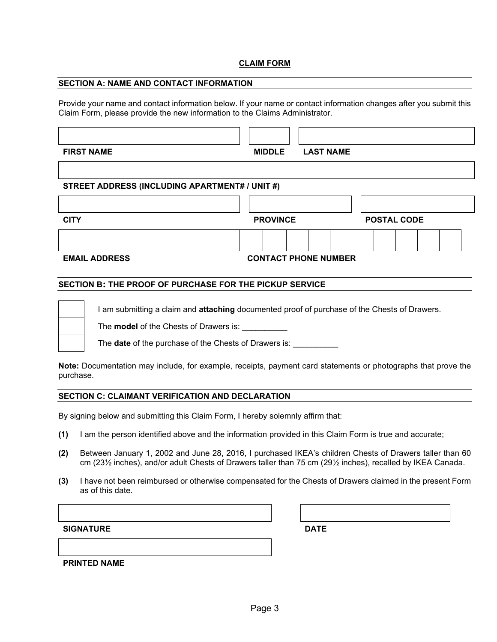#### **CLAIM FORM**

#### <span id="page-2-0"></span>**SECTION A: NAME AND CONTACT INFORMATION**

Provide your name and contact information below. If your name or contact information changes after you submit this Claim Form, please provide the new information to the Claims Administrator.

| <b>FIRST NAME</b>                              | <b>MIDDLE</b>               | <b>LAST NAME</b> |                    |  |  |
|------------------------------------------------|-----------------------------|------------------|--------------------|--|--|
|                                                |                             |                  |                    |  |  |
| STREET ADDRESS (INCLUDING APARTMENT# / UNIT #) |                             |                  |                    |  |  |
|                                                |                             |                  |                    |  |  |
| <b>CITY</b>                                    | <b>PROVINCE</b>             |                  | <b>POSTAL CODE</b> |  |  |
|                                                |                             |                  |                    |  |  |
| <b>EMAIL ADDRESS</b>                           | <b>CONTACT PHONE NUMBER</b> |                  |                    |  |  |

#### <span id="page-2-1"></span>**SECTION B: THE PROOF OF PURCHASE FOR THE PICKUP SERVICE**

I am submitting a claim and **attaching** documented proof of purchase of the Chests of Drawers.

The **model** of the Chests of Drawers is: \_\_\_\_\_\_\_\_\_\_

The **date** of the purchase of the Chests of Drawers is: \_\_\_\_\_\_\_\_\_\_

**Note:** Documentation may include, for example, receipts, payment card statements or photographs that prove the purchase.

#### <span id="page-2-2"></span>**SECTION C: CLAIMANT VERIFICATION AND DECLARATION**

By signing below and submitting this Claim Form, I hereby solemnly affirm that:

- **(1)** I am the person identified above and the information provided in this Claim Form is true and accurate;
- **(2)** Between January 1, 2002 and June 28, 2016, I purchased IKEA's children Chests of Drawers taller than 60 cm (23½ inches), and/or adult Chests of Drawers taller than 75 cm (29½ inches), recalled by IKEA Canada.
- **(3)** I have not been reimbursed or otherwise compensated for the Chests of Drawers claimed in the present Form as of this date.

**SIGNATURE DATE**

**PRINTED NAME**